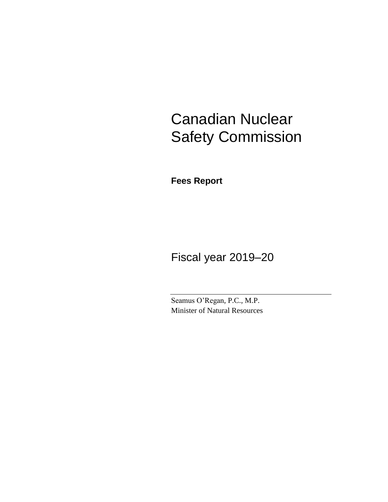# Canadian Nuclear Safety Commission

**Fees Report**

Fiscal year 2019–20

Seamus O'Regan, P.C., M.P. Minister of Natural Resources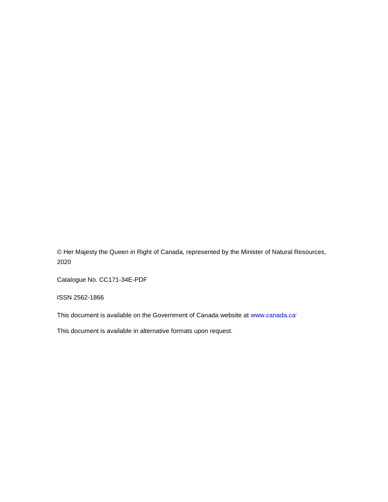© Her Majesty the Queen in Right of Canada, represented by the Minister of Natural Resources, 2020

Catalogue No. CC171-34E-PDF

ISSN 2562-1866

This document is available on the Government of Canada website at [www.canada.ca](https://www.canada.ca/home.html)<sup>i</sup>

This document is available in alternative formats upon request.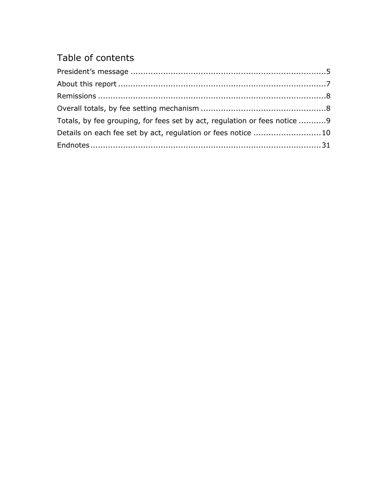## Table of contents

| Totals, by fee grouping, for fees set by act, regulation or fees notice 9 |  |
|---------------------------------------------------------------------------|--|
| Details on each fee set by act, regulation or fees notice 10              |  |
|                                                                           |  |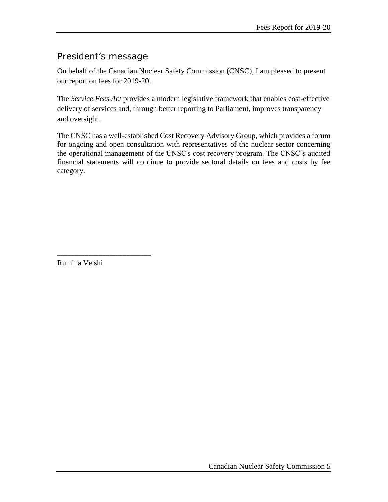### <span id="page-4-0"></span>President's message

On behalf of the Canadian Nuclear Safety Commission (CNSC), I am pleased to present our report on fees for 2019-20.

The *Service Fees Act* provides a modern legislative framework that enables cost-effective delivery of services and, through better reporting to Parliament, improves transparency and oversight.

The CNSC has a well-established Cost Recovery Advisory Group, which provides a forum for ongoing and open consultation with representatives of the nuclear sector concerning the operational management of the CNSC's cost recovery program. The CNSC's audited financial statements will continue to provide sectoral details on fees and costs by fee category.

Rumina Velshi

\_\_\_\_\_\_\_\_\_\_\_\_\_\_\_\_\_\_\_\_\_\_\_\_\_\_\_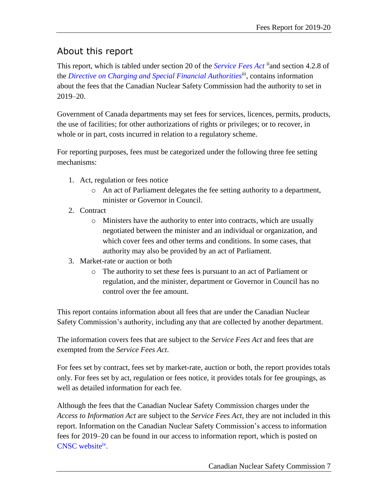## <span id="page-6-0"></span>About this report

This report, which is tabled under section 20 of the *[Service Fees Act](https://laws-lois.justice.gc.ca/eng/acts/S-8.4/index.html)* <sup>ii</sup>and section 4.2.8 of the *[Directive on Charging and Special Financial Authorities](https://www.tbs-sct.gc.ca/pol/doc-eng.aspx?id=32502)*iii , contains information about the fees that the Canadian Nuclear Safety Commission had the authority to set in 2019–20.

Government of Canada departments may set fees for services, licences, permits, products, the use of facilities; for other authorizations of rights or privileges; or to recover, in whole or in part, costs incurred in relation to a regulatory scheme.

For reporting purposes, fees must be categorized under the following three fee setting mechanisms:

- 1. Act, regulation or fees notice
	- o An act of Parliament delegates the fee setting authority to a department, minister or Governor in Council.
- 2. Contract
	- o Ministers have the authority to enter into contracts, which are usually negotiated between the minister and an individual or organization, and which cover fees and other terms and conditions. In some cases, that authority may also be provided by an act of Parliament.
- 3. Market-rate or auction or both
	- o The authority to set these fees is pursuant to an act of Parliament or regulation, and the minister, department or Governor in Council has no control over the fee amount.

This report contains information about all fees that are under the Canadian Nuclear Safety Commission's authority, including any that are collected by another department.

The information covers fees that are subject to the *Service Fees Act* and fees that are exempted from the *Service Fees Act*.

For fees set by contract, fees set by market-rate, auction or both, the report provides totals only. For fees set by act, regulation or fees notice, it provides totals for fee groupings, as well as detailed information for each fee.

Although the fees that the Canadian Nuclear Safety Commission charges under the *Access to Information Act* are subject to the *Service Fees Act*, they are not included in this report. Information on the Canadian Nuclear Safety Commission's access to information fees for 2019–20 can be found in our access to information report, which is posted on [CNSC website](http://www.nuclearsafety.gc.ca/eng/resources/publications/reports/access-to-information-and-privacy/index.cfm)iv.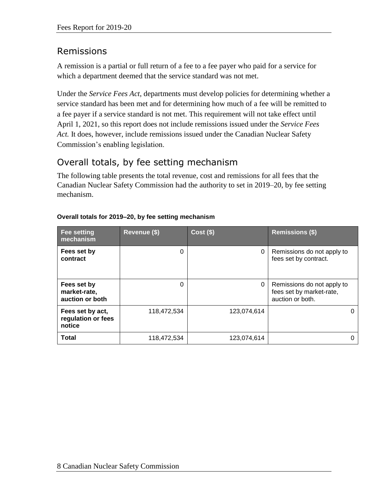## <span id="page-7-0"></span>Remissions

A remission is a partial or full return of a fee to a fee payer who paid for a service for which a department deemed that the service standard was not met.

Under the *Service Fees Act*, departments must develop policies for determining whether a service standard has been met and for determining how much of a fee will be remitted to a fee payer if a service standard is not met. This requirement will not take effect until April 1, 2021, so this report does not include remissions issued under the *Service Fees Act.* It does, however, include remissions issued under the Canadian Nuclear Safety Commission's enabling legislation.

## <span id="page-7-1"></span>Overall totals, by fee setting mechanism

The following table presents the total revenue, cost and remissions for all fees that the Canadian Nuclear Safety Commission had the authority to set in 2019–20, by fee setting mechanism.

| <b>Fee setting</b><br>mechanism                  | Revenue (\$) | $Cost($ \$) | <b>Remissions (\$)</b>                                                     |
|--------------------------------------------------|--------------|-------------|----------------------------------------------------------------------------|
| Fees set by<br>contract                          | 0            | 0           | Remissions do not apply to<br>fees set by contract.                        |
| Fees set by<br>market-rate,<br>auction or both   | 0            | 0           | Remissions do not apply to<br>fees set by market-rate,<br>auction or both. |
| Fees set by act,<br>regulation or fees<br>notice | 118,472,534  | 123,074,614 | 0                                                                          |
| <b>Total</b>                                     | 118,472,534  | 123,074,614 |                                                                            |

#### **Overall totals for 2019–20, by fee setting mechanism**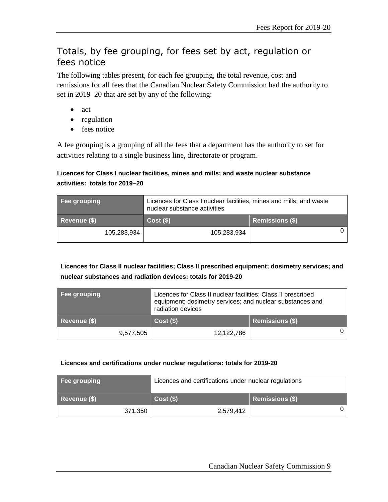### <span id="page-8-0"></span>Totals, by fee grouping, for fees set by act, regulation or fees notice

The following tables present, for each fee grouping, the total revenue, cost and remissions for all fees that the Canadian Nuclear Safety Commission had the authority to set in 2019–20 that are set by any of the following:

- act
- regulation
- fees notice

A fee grouping is a grouping of all the fees that a department has the authority to set for activities relating to a single business line, directorate or program.

#### **Licences for Class I nuclear facilities, mines and mills; and waste nuclear substance activities: totals for 2019–20**

| Fee grouping | Licences for Class I nuclear facilities, mines and mills; and waste<br>nuclear substance activities |                        |
|--------------|-----------------------------------------------------------------------------------------------------|------------------------|
| Revenue (\$) | $Cost($ \$)                                                                                         | <b>Remissions (\$)</b> |
| 105,283,934  | 105,283,934                                                                                         |                        |

#### **Licences for Class II nuclear facilities; Class II prescribed equipment; dosimetry services; and nuclear substances and radiation devices: totals for 2019-20**

| Fee grouping |           | Licences for Class II nuclear facilities; Class II prescribed<br>equipment; dosimetry services; and nuclear substances and<br>radiation devices |                        |  |
|--------------|-----------|-------------------------------------------------------------------------------------------------------------------------------------------------|------------------------|--|
| Revenue (\$) |           | Cost(S)                                                                                                                                         | <b>Remissions (\$)</b> |  |
|              | 9,577,505 | 12,122,786                                                                                                                                      |                        |  |

#### **Licences and certifications under nuclear regulations: totals for 2019-20**

| Fee grouping |         | Licences and certifications under nuclear regulations |                        |
|--------------|---------|-------------------------------------------------------|------------------------|
| Revenue (\$) |         | Cost(S)                                               | <b>Remissions (\$)</b> |
|              | 371,350 | 2,579,412                                             |                        |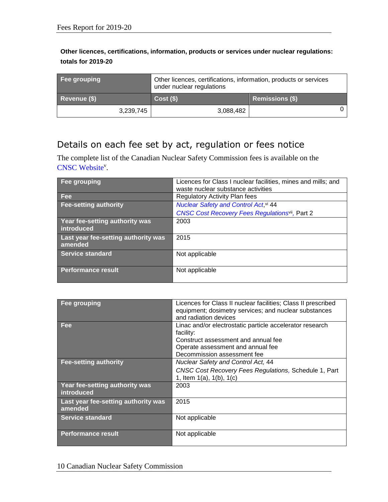#### **Other licences, certifications, information, products or services under nuclear regulations: totals for 2019-20**

| Fee grouping | Other licences, certifications, information, products or services<br>under nuclear regulations |                        |
|--------------|------------------------------------------------------------------------------------------------|------------------------|
| Revenue (\$) | Cost(S)                                                                                        | <b>Remissions (\$)</b> |
| 3,239,745    | 3,088,482                                                                                      |                        |

## <span id="page-9-0"></span>Details on each fee set by act, regulation or fees notice

The complete list of the Canadian Nuclear Safety Commission fees is available on the [CNSC Website](http://uat.nuclearsafety.gc.ca:85/eng/resources/publications/reports/fees-reports/fees-report-2019-2020.cfm)<sup>v</sup>.

| Fee grouping                                   | Licences for Class I nuclear facilities, mines and mills; and<br>waste nuclear substance activities |
|------------------------------------------------|-----------------------------------------------------------------------------------------------------|
| Fee                                            | <b>Regulatory Activity Plan fees</b>                                                                |
| Fee-setting authority                          | <b>Nuclear Safety and Control Act, vi 44</b>                                                        |
|                                                | <b>CNSC Cost Recovery Fees Regulationsvil, Part 2</b>                                               |
| Year fee-setting authority was<br>introduced   | 2003                                                                                                |
| Last year fee-setting authority was<br>amended | 2015                                                                                                |
| <b>Service standard</b>                        | Not applicable                                                                                      |
| Performance result                             | Not applicable                                                                                      |

| Fee grouping                                   | Licences for Class II nuclear facilities; Class II prescribed<br>equipment; dosimetry services; and nuclear substances<br>and radiation devices                                  |
|------------------------------------------------|----------------------------------------------------------------------------------------------------------------------------------------------------------------------------------|
| <b>Fee</b>                                     | Linac and/or electrostatic particle accelerator research<br>facility:<br>Construct assessment and annual fee<br>Operate assessment and annual fee<br>Decommission assessment fee |
| <b>Fee-setting authority</b>                   | <b>Nuclear Safety and Control Act, 44</b><br>CNSC Cost Recovery Fees Regulations, Schedule 1, Part<br>1, Item $1(a)$ , $1(b)$ , $1(c)$                                           |
| Year fee-setting authority was<br>introduced   | 2003                                                                                                                                                                             |
| Last year fee-setting authority was<br>amended | 2015                                                                                                                                                                             |
| Service standard                               | Not applicable                                                                                                                                                                   |
| <b>Performance result</b>                      | Not applicable                                                                                                                                                                   |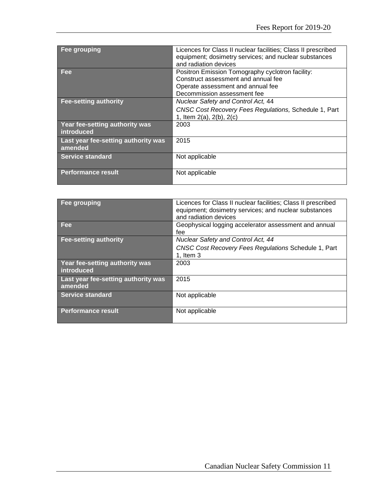| Fee grouping                                   | Licences for Class II nuclear facilities; Class II prescribed<br>equipment; dosimetry services; and nuclear substances<br>and radiation devices             |
|------------------------------------------------|-------------------------------------------------------------------------------------------------------------------------------------------------------------|
| <b>Fee</b>                                     | Positron Emission Tomography cyclotron facility:<br>Construct assessment and annual fee<br>Operate assessment and annual fee<br>Decommission assessment fee |
| <b>Fee-setting authority</b>                   | <b>Nuclear Safety and Control Act, 44</b><br>CNSC Cost Recovery Fees Regulations, Schedule 1, Part<br>1, Item 2(a), 2(b), 2(c)                              |
| Year fee-setting authority was<br>introduced   | 2003                                                                                                                                                        |
| Last year fee-setting authority was<br>amended | 2015                                                                                                                                                        |
| Service standard                               | Not applicable                                                                                                                                              |
| <b>Performance result</b>                      | Not applicable                                                                                                                                              |

| Fee grouping                        | Licences for Class II nuclear facilities; Class II prescribed |
|-------------------------------------|---------------------------------------------------------------|
|                                     | equipment; dosimetry services; and nuclear substances         |
|                                     | and radiation devices                                         |
| <b>Fee</b>                          | Geophysical logging accelerator assessment and annual         |
|                                     | fee                                                           |
| <b>Fee-setting authority</b>        | Nuclear Safety and Control Act, 44                            |
|                                     | <b>CNSC Cost Recovery Fees Regulations Schedule 1, Part</b>   |
|                                     | 1, Item $3$                                                   |
| Year fee-setting authority was      | 2003                                                          |
| introduced                          |                                                               |
| Last year fee-setting authority was | 2015                                                          |
| amended                             |                                                               |
| <b>Service standard</b>             | Not applicable                                                |
|                                     |                                                               |
| <b>Performance result</b>           | Not applicable                                                |
|                                     |                                                               |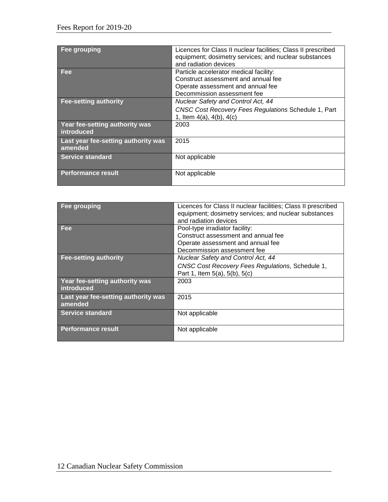| Fee grouping                                   | Licences for Class II nuclear facilities; Class II prescribed<br>equipment; dosimetry services; and nuclear substances<br>and radiation devices   |
|------------------------------------------------|---------------------------------------------------------------------------------------------------------------------------------------------------|
| Fee                                            | Particle accelerator medical facility:<br>Construct assessment and annual fee<br>Operate assessment and annual fee<br>Decommission assessment fee |
| <b>Fee-setting authority</b>                   | <b>Nuclear Safety and Control Act, 44</b><br>CNSC Cost Recovery Fees Regulations Schedule 1, Part<br>1, Item $4(a)$ , $4(b)$ , $4(c)$             |
| Year fee-setting authority was<br>introduced   | 2003                                                                                                                                              |
| Last year fee-setting authority was<br>amended | 2015                                                                                                                                              |
| <b>Service standard</b>                        | Not applicable                                                                                                                                    |
| <b>Performance result</b>                      | Not applicable                                                                                                                                    |

| Fee grouping                                   | Licences for Class II nuclear facilities; Class II prescribed<br>equipment; dosimetry services; and nuclear substances<br>and radiation devices |
|------------------------------------------------|-------------------------------------------------------------------------------------------------------------------------------------------------|
| <b>Fee</b>                                     | Pool-type irradiator facility:<br>Construct assessment and annual fee<br>Operate assessment and annual fee<br>Decommission assessment fee       |
| <b>Fee-setting authority</b>                   | Nuclear Safety and Control Act, 44<br>CNSC Cost Recovery Fees Regulations, Schedule 1,<br>Part 1, Item 5(a), 5(b), 5(c)                         |
| Year fee-setting authority was<br>introduced   | 2003                                                                                                                                            |
| Last year fee-setting authority was<br>amended | 2015                                                                                                                                            |
| Service standard                               | Not applicable                                                                                                                                  |
| <b>Performance result</b>                      | Not applicable                                                                                                                                  |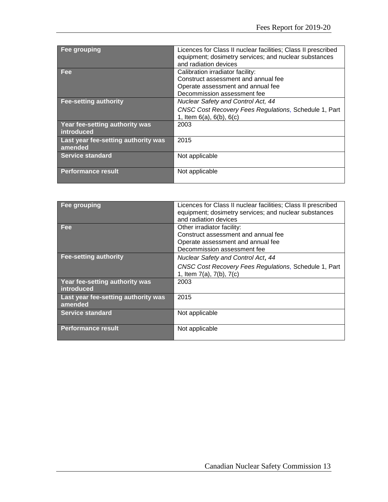| Fee grouping                                   | Licences for Class II nuclear facilities; Class II prescribed<br>equipment; dosimetry services; and nuclear substances |
|------------------------------------------------|------------------------------------------------------------------------------------------------------------------------|
|                                                | and radiation devices                                                                                                  |
| Fee                                            | Calibration irradiator facility:                                                                                       |
|                                                | Construct assessment and annual fee                                                                                    |
|                                                | Operate assessment and annual fee                                                                                      |
|                                                | Decommission assessment fee                                                                                            |
| <b>Fee-setting authority</b>                   | <b>Nuclear Safety and Control Act, 44</b>                                                                              |
|                                                | CNSC Cost Recovery Fees Regulations, Schedule 1, Part                                                                  |
|                                                | 1, Item $6(a)$ , $6(b)$ , $6(c)$                                                                                       |
| Year fee-setting authority was<br>introduced   | 2003                                                                                                                   |
| Last year fee-setting authority was<br>amended | 2015                                                                                                                   |
| <b>Service standard</b>                        | Not applicable                                                                                                         |
| <b>Performance result</b>                      | Not applicable                                                                                                         |

| Fee grouping                                   | Licences for Class II nuclear facilities; Class II prescribed<br>equipment; dosimetry services; and nuclear substances<br>and radiation devices |
|------------------------------------------------|-------------------------------------------------------------------------------------------------------------------------------------------------|
| <b>Fee</b>                                     | Other irradiator facility:<br>Construct assessment and annual fee<br>Operate assessment and annual fee<br>Decommission assessment fee           |
| <b>Fee-setting authority</b>                   | Nuclear Safety and Control Act, 44<br>CNSC Cost Recovery Fees Regulations, Schedule 1, Part<br>1, Item 7(a), 7(b), 7(c)                         |
| Year fee-setting authority was<br>introduced   | 2003                                                                                                                                            |
| Last year fee-setting authority was<br>amended | 2015                                                                                                                                            |
| <b>Service standard</b>                        | Not applicable                                                                                                                                  |
| <b>Performance result</b>                      | Not applicable                                                                                                                                  |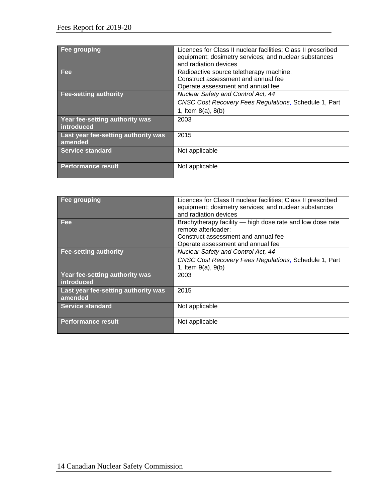| Fee grouping                        | Licences for Class II nuclear facilities; Class II prescribed<br>equipment; dosimetry services; and nuclear substances<br>and radiation devices |
|-------------------------------------|-------------------------------------------------------------------------------------------------------------------------------------------------|
| <b>Fee</b>                          | Radioactive source teletherapy machine:<br>Construct assessment and annual fee                                                                  |
|                                     | Operate assessment and annual fee                                                                                                               |
| <b>Fee-setting authority</b>        | Nuclear Safety and Control Act, 44                                                                                                              |
|                                     |                                                                                                                                                 |
|                                     | CNSC Cost Recovery Fees Regulations, Schedule 1, Part                                                                                           |
|                                     | 1, Item $8(a)$ , $8(b)$                                                                                                                         |
| Year fee-setting authority was      | 2003                                                                                                                                            |
| introduced                          |                                                                                                                                                 |
| Last year fee-setting authority was | 2015                                                                                                                                            |
| amended                             |                                                                                                                                                 |
| Service standard                    | Not applicable                                                                                                                                  |
|                                     |                                                                                                                                                 |
| <b>Performance result</b>           | Not applicable                                                                                                                                  |
|                                     |                                                                                                                                                 |

| Fee grouping                                   | Licences for Class II nuclear facilities; Class II prescribed<br>equipment; dosimetry services; and nuclear substances<br>and radiation devices              |
|------------------------------------------------|--------------------------------------------------------------------------------------------------------------------------------------------------------------|
| <b>Fee</b>                                     | Brachytherapy facility — high dose rate and low dose rate<br>remote afterloader:<br>Construct assessment and annual fee<br>Operate assessment and annual fee |
| <b>Fee-setting authority</b>                   | Nuclear Safety and Control Act, 44<br>CNSC Cost Recovery Fees Regulations, Schedule 1, Part<br>1, Item 9(a), 9(b)                                            |
| Year fee-setting authority was<br>introduced   | 2003                                                                                                                                                         |
| Last year fee-setting authority was<br>amended | 2015                                                                                                                                                         |
| <b>Service standard</b>                        | Not applicable                                                                                                                                               |
| <b>Performance result</b>                      | Not applicable                                                                                                                                               |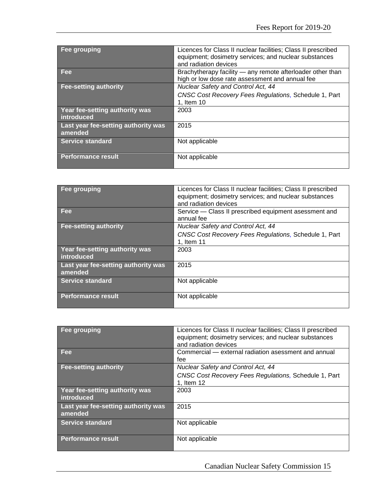| Fee grouping                                   | Licences for Class II nuclear facilities; Class II prescribed<br>equipment; dosimetry services; and nuclear substances<br>and radiation devices |
|------------------------------------------------|-------------------------------------------------------------------------------------------------------------------------------------------------|
| Fee                                            | Brachytherapy facility - any remote afterloader other than<br>high or low dose rate assessment and annual fee                                   |
| <b>Fee-setting authority</b>                   | Nuclear Safety and Control Act, 44                                                                                                              |
|                                                | CNSC Cost Recovery Fees Regulations, Schedule 1, Part<br>1, Item 10                                                                             |
| Year fee-setting authority was<br>introduced   | 2003                                                                                                                                            |
| Last year fee-setting authority was<br>amended | 2015                                                                                                                                            |
| <b>Service standard</b>                        | Not applicable                                                                                                                                  |
| <b>Performance result</b>                      | Not applicable                                                                                                                                  |

| Fee grouping                                   | Licences for Class II nuclear facilities; Class II prescribed<br>equipment; dosimetry services; and nuclear substances<br>and radiation devices |
|------------------------------------------------|-------------------------------------------------------------------------------------------------------------------------------------------------|
| Fee                                            | Service - Class II prescribed equipment asessment and<br>annual fee                                                                             |
| <b>Fee-setting authority</b>                   | <b>Nuclear Safety and Control Act, 44</b>                                                                                                       |
|                                                | CNSC Cost Recovery Fees Regulations, Schedule 1, Part<br>1, Item 11                                                                             |
| Year fee-setting authority was<br>introduced   | 2003                                                                                                                                            |
| Last year fee-setting authority was<br>amended | 2015                                                                                                                                            |
| <b>Service standard</b>                        | Not applicable                                                                                                                                  |
| <b>Performance result</b>                      | Not applicable                                                                                                                                  |

| Fee grouping                        | Licences for Class II nuclear facilities; Class II prescribed |
|-------------------------------------|---------------------------------------------------------------|
|                                     | equipment; dosimetry services; and nuclear substances         |
|                                     | and radiation devices                                         |
| Fee                                 | Commercial — external radiation asessment and annual          |
|                                     | fee                                                           |
| <b>Fee-setting authority</b>        | Nuclear Safety and Control Act, 44                            |
|                                     | <b>CNSC Cost Recovery Fees Regulations, Schedule 1, Part</b>  |
|                                     | 1, Item 12                                                    |
| Year fee-setting authority was      | 2003                                                          |
| introduced                          |                                                               |
| Last year fee-setting authority was | 2015                                                          |
| amended                             |                                                               |
| Service standard                    | Not applicable                                                |
|                                     |                                                               |
| Performance result                  | Not applicable                                                |
|                                     |                                                               |

Canadian Nuclear Safety Commission 15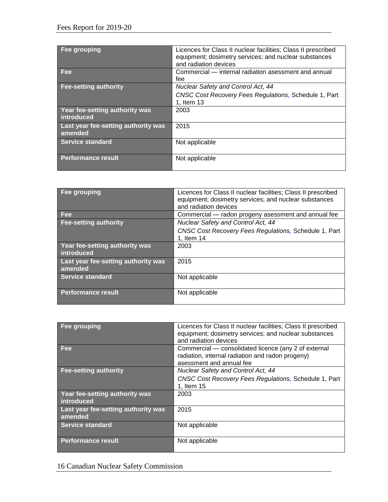| Fee grouping                                   | Licences for Class II nuclear facilities; Class II prescribed<br>equipment; dosimetry services; and nuclear substances |
|------------------------------------------------|------------------------------------------------------------------------------------------------------------------------|
|                                                | and radiation devices                                                                                                  |
| Fee                                            | Commercial – internal radiation asessment and annual                                                                   |
|                                                | fee                                                                                                                    |
| <b>Fee-setting authority</b>                   | <b>Nuclear Safety and Control Act, 44</b>                                                                              |
|                                                | CNSC Cost Recovery Fees Regulations, Schedule 1, Part<br>1, Item 13                                                    |
| Year fee-setting authority was<br>introduced   | 2003                                                                                                                   |
| Last year fee-setting authority was<br>amended | 2015                                                                                                                   |
| Service standard                               | Not applicable                                                                                                         |
| <b>Performance result</b>                      | Not applicable                                                                                                         |

| Fee grouping                                   | Licences for Class II nuclear facilities; Class II prescribed<br>equipment; dosimetry services; and nuclear substances<br>and radiation devices |
|------------------------------------------------|-------------------------------------------------------------------------------------------------------------------------------------------------|
| <b>Fee</b>                                     | Commercial - radon progeny asessment and annual fee                                                                                             |
| <b>Fee-setting authority</b>                   | Nuclear Safety and Control Act, 44                                                                                                              |
|                                                | CNSC Cost Recovery Fees Regulations, Schedule 1, Part<br>1, Item 14                                                                             |
| Year fee-setting authority was<br>introduced   | 2003                                                                                                                                            |
| Last year fee-setting authority was<br>amended | 2015                                                                                                                                            |
| <b>Service standard</b>                        | Not applicable                                                                                                                                  |
| <b>Performance result</b>                      | Not applicable                                                                                                                                  |

| Fee grouping                                   | Licences for Class II nuclear facilities; Class II prescribed<br>equipment; dosimetry services; and nuclear substances<br>and radiation devices |
|------------------------------------------------|-------------------------------------------------------------------------------------------------------------------------------------------------|
| Fee                                            | Commercial — consolidated licence (any 2 of external<br>radiation, internal radiation and radon progeny)<br>asessment and annual fee            |
| <b>Fee-setting authority</b>                   | Nuclear Safety and Control Act, 44                                                                                                              |
|                                                | CNSC Cost Recovery Fees Regulations, Schedule 1, Part                                                                                           |
|                                                | 1, Item 15                                                                                                                                      |
| Year fee-setting authority was<br>introduced   | 2003                                                                                                                                            |
| Last year fee-setting authority was<br>amended | 2015                                                                                                                                            |
| <b>Service standard</b>                        | Not applicable                                                                                                                                  |
| <b>Performance result</b>                      | Not applicable                                                                                                                                  |

16 Canadian Nuclear Safety Commission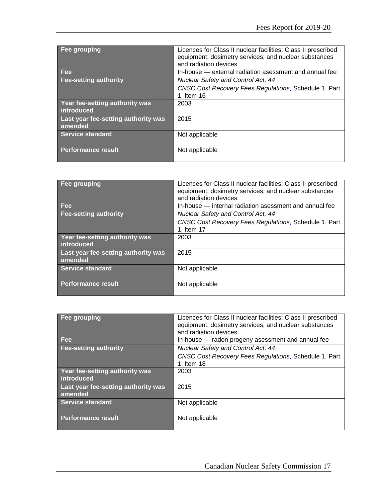| Fee grouping                                   | Licences for Class II nuclear facilities; Class II prescribed<br>equipment; dosimetry services; and nuclear substances<br>and radiation devices |
|------------------------------------------------|-------------------------------------------------------------------------------------------------------------------------------------------------|
| <b>Fee</b>                                     | In-house — external radiation asessment and annual fee                                                                                          |
| <b>Fee-setting authority</b>                   | <b>Nuclear Safety and Control Act, 44</b>                                                                                                       |
|                                                | CNSC Cost Recovery Fees Regulations, Schedule 1, Part<br>1, Item 16                                                                             |
| Year fee-setting authority was<br>introduced   | 2003                                                                                                                                            |
| Last year fee-setting authority was<br>amended | 2015                                                                                                                                            |
| Service standard                               | Not applicable                                                                                                                                  |
| <b>Performance result</b>                      | Not applicable                                                                                                                                  |

| Fee grouping                                   | Licences for Class II nuclear facilities; Class II prescribed<br>equipment; dosimetry services; and nuclear substances<br>and radiation devices |
|------------------------------------------------|-------------------------------------------------------------------------------------------------------------------------------------------------|
| <b>Fee</b>                                     | In-house – internal radiation asessment and annual fee                                                                                          |
| <b>Fee-setting authority</b>                   | Nuclear Safety and Control Act, 44                                                                                                              |
|                                                | <b>CNSC Cost Recovery Fees Regulations, Schedule 1, Part</b><br>1, Item 17                                                                      |
|                                                |                                                                                                                                                 |
| Year fee-setting authority was<br>introduced   | 2003                                                                                                                                            |
| Last year fee-setting authority was<br>amended | 2015                                                                                                                                            |
| Service standard                               | Not applicable                                                                                                                                  |
| <b>Performance result</b>                      | Not applicable                                                                                                                                  |

| Fee grouping                        | Licences for Class II nuclear facilities; Class II prescribed |
|-------------------------------------|---------------------------------------------------------------|
|                                     | equipment; dosimetry services; and nuclear substances         |
|                                     | and radiation devices                                         |
| <b>Fee</b>                          | In-house – radon progeny asessment and annual fee             |
| <b>Fee-setting authority</b>        | Nuclear Safety and Control Act, 44                            |
|                                     | CNSC Cost Recovery Fees Regulations, Schedule 1, Part         |
|                                     | 1, Item 18                                                    |
| Year fee-setting authority was      | 2003                                                          |
| introduced                          |                                                               |
| Last year fee-setting authority was | 2015                                                          |
| amended                             |                                                               |
| <b>Service standard</b>             | Not applicable                                                |
|                                     |                                                               |
| <b>Performance result</b>           | Not applicable                                                |
|                                     |                                                               |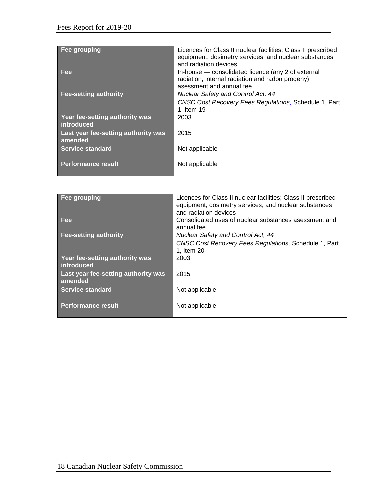| Fee grouping                                   | Licences for Class II nuclear facilities; Class II prescribed<br>equipment; dosimetry services; and nuclear substances<br>and radiation devices |
|------------------------------------------------|-------------------------------------------------------------------------------------------------------------------------------------------------|
| Fee                                            | In-house — consolidated licence (any 2 of external<br>radiation, internal radiation and radon progeny)<br>asessment and annual fee              |
| <b>Fee-setting authority</b>                   | Nuclear Safety and Control Act, 44<br>CNSC Cost Recovery Fees Regulations, Schedule 1, Part<br>1, Item 19                                       |
| Year fee-setting authority was<br>introduced   | 2003                                                                                                                                            |
| Last year fee-setting authority was<br>amended | 2015                                                                                                                                            |
| Service standard                               | Not applicable                                                                                                                                  |
| <b>Performance result</b>                      | Not applicable                                                                                                                                  |

| Fee grouping                                   | Licences for Class II nuclear facilities; Class II prescribed       |
|------------------------------------------------|---------------------------------------------------------------------|
|                                                | equipment; dosimetry services; and nuclear substances               |
|                                                | and radiation devices                                               |
| <b>Fee</b>                                     | Consolidated uses of nuclear substances asessment and<br>annual fee |
| Fee-setting authority                          | <b>Nuclear Safety and Control Act, 44</b>                           |
|                                                | CNSC Cost Recovery Fees Regulations, Schedule 1, Part               |
|                                                | 1, Item 20                                                          |
| Year fee-setting authority was<br>introduced   | 2003                                                                |
| Last year fee-setting authority was<br>amended | 2015                                                                |
| Service standard                               | Not applicable                                                      |
|                                                |                                                                     |
| <b>Performance result</b>                      | Not applicable                                                      |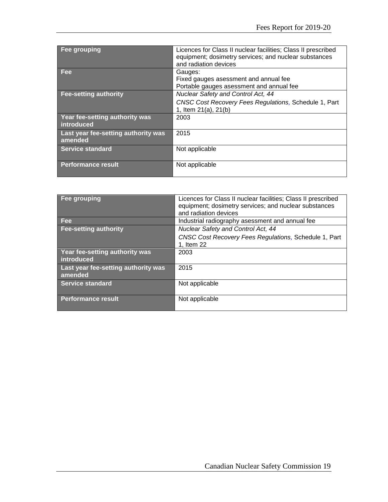| Fee grouping                                   | Licences for Class II nuclear facilities; Class II prescribed<br>equipment; dosimetry services; and nuclear substances<br>and radiation devices |
|------------------------------------------------|-------------------------------------------------------------------------------------------------------------------------------------------------|
| <b>Fee</b>                                     | Gauges:<br>Fixed gauges asessment and annual fee                                                                                                |
|                                                | Portable gauges asessment and annual fee                                                                                                        |
| <b>Fee-setting authority</b>                   | Nuclear Safety and Control Act, 44                                                                                                              |
|                                                | CNSC Cost Recovery Fees Regulations, Schedule 1, Part                                                                                           |
|                                                | 1, Item 21(a), 21(b)                                                                                                                            |
| Year fee-setting authority was<br>introduced   | 2003                                                                                                                                            |
| Last year fee-setting authority was<br>amended | 2015                                                                                                                                            |
| <b>Service standard</b>                        | Not applicable                                                                                                                                  |
| <b>Performance result</b>                      | Not applicable                                                                                                                                  |

| Fee grouping                                   | Licences for Class II nuclear facilities; Class II prescribed<br>equipment; dosimetry services; and nuclear substances<br>and radiation devices |
|------------------------------------------------|-------------------------------------------------------------------------------------------------------------------------------------------------|
| <b>Fee</b>                                     | Industrial radiography asessment and annual fee                                                                                                 |
| <b>Fee-setting authority</b>                   | <b>Nuclear Safety and Control Act, 44</b>                                                                                                       |
|                                                | CNSC Cost Recovery Fees Regulations, Schedule 1, Part<br>1, Item 22                                                                             |
| Year fee-setting authority was<br>introduced   | 2003                                                                                                                                            |
| Last year fee-setting authority was<br>amended | 2015                                                                                                                                            |
| Service standard                               | Not applicable                                                                                                                                  |
| Performance result                             | Not applicable                                                                                                                                  |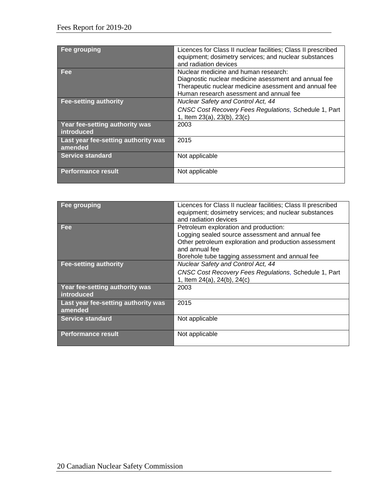| Fee grouping                                   | Licences for Class II nuclear facilities; Class II prescribed<br>equipment; dosimetry services; and nuclear substances<br>and radiation devices                                                  |
|------------------------------------------------|--------------------------------------------------------------------------------------------------------------------------------------------------------------------------------------------------|
| Fee                                            | Nuclear medicine and human research:<br>Diagnostic nuclear medicine asessment and annual fee<br>Therapeutic nuclear medicine asessment and annual fee<br>Human research asessment and annual fee |
| <b>Fee-setting authority</b>                   | <b>Nuclear Safety and Control Act, 44</b><br>CNSC Cost Recovery Fees Regulations, Schedule 1, Part<br>1, Item 23(a), 23(b), 23(c)                                                                |
| Year fee-setting authority was<br>introduced   | 2003                                                                                                                                                                                             |
| Last year fee-setting authority was<br>amended | 2015                                                                                                                                                                                             |
| <b>Service standard</b>                        | Not applicable                                                                                                                                                                                   |
| <b>Performance result</b>                      | Not applicable                                                                                                                                                                                   |

| Fee grouping                                   | Licences for Class II nuclear facilities; Class II prescribed<br>equipment; dosimetry services; and nuclear substances<br>and radiation devices                                                                        |
|------------------------------------------------|------------------------------------------------------------------------------------------------------------------------------------------------------------------------------------------------------------------------|
| <b>Fee</b>                                     | Petroleum exploration and production:<br>Logging sealed source assessment and annual fee<br>Other petroleum exploration and production assessment<br>and annual fee<br>Borehole tube tagging assessment and annual fee |
| <b>Fee-setting authority</b>                   | Nuclear Safety and Control Act, 44<br>CNSC Cost Recovery Fees Regulations, Schedule 1, Part<br>1, Item 24(a), 24(b), 24(c)                                                                                             |
| Year fee-setting authority was<br>introduced   | 2003                                                                                                                                                                                                                   |
| Last year fee-setting authority was<br>amended | 2015                                                                                                                                                                                                                   |
| <b>Service standard</b>                        | Not applicable                                                                                                                                                                                                         |
| <b>Performance result</b>                      | Not applicable                                                                                                                                                                                                         |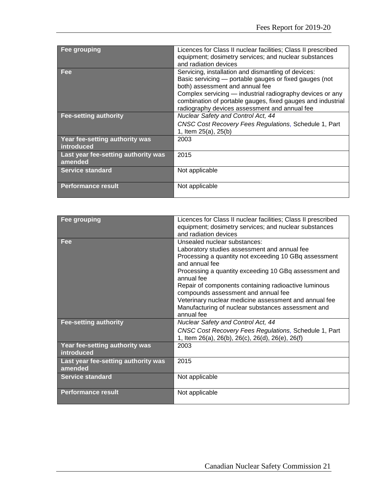| Fee grouping                                   | Licences for Class II nuclear facilities; Class II prescribed<br>equipment; dosimetry services; and nuclear substances<br>and radiation devices                                                                                                                                                                               |
|------------------------------------------------|-------------------------------------------------------------------------------------------------------------------------------------------------------------------------------------------------------------------------------------------------------------------------------------------------------------------------------|
| <b>Fee</b>                                     | Servicing, installation and dismantling of devices:<br>Basic servicing – portable gauges or fixed gauges (not<br>both) assessment and annual fee<br>Complex servicing — industrial radiography devices or any<br>combination of portable gauges, fixed gauges and industrial<br>radiography devices assessment and annual fee |
| <b>Fee-setting authority</b>                   | Nuclear Safety and Control Act, 44<br>CNSC Cost Recovery Fees Regulations, Schedule 1, Part<br>1, Item 25(a), 25(b)                                                                                                                                                                                                           |
| Year fee-setting authority was<br>introduced   | 2003                                                                                                                                                                                                                                                                                                                          |
| Last year fee-setting authority was<br>amended | 2015                                                                                                                                                                                                                                                                                                                          |
| <b>Service standard</b>                        | Not applicable                                                                                                                                                                                                                                                                                                                |
| <b>Performance result</b>                      | Not applicable                                                                                                                                                                                                                                                                                                                |

| Fee grouping                        | Licences for Class II nuclear facilities; Class II prescribed |
|-------------------------------------|---------------------------------------------------------------|
|                                     | equipment; dosimetry services; and nuclear substances         |
|                                     |                                                               |
|                                     | and radiation devices                                         |
| Fee                                 | Unsealed nuclear substances:                                  |
|                                     | Laboratory studies assessment and annual fee                  |
|                                     | Processing a quantity not exceeding 10 GBq assessment         |
|                                     | and annual fee                                                |
|                                     | Processing a quantity exceeding 10 GBq assessment and         |
|                                     | annual fee                                                    |
|                                     | Repair of components containing radioactive luminous          |
|                                     | compounds assessment and annual fee                           |
|                                     | Veterinary nuclear medicine assessment and annual fee         |
|                                     | Manufacturing of nuclear substances assessment and            |
|                                     | annual fee                                                    |
| <b>Fee-setting authority</b>        | Nuclear Safety and Control Act, 44                            |
|                                     |                                                               |
|                                     | CNSC Cost Recovery Fees Regulations, Schedule 1, Part         |
|                                     | 1, Item 26(a), 26(b), 26(c), 26(d), 26(e), 26(f)              |
| Year fee-setting authority was      | 2003                                                          |
| introduced                          |                                                               |
| Last year fee-setting authority was | 2015                                                          |
| amended                             |                                                               |
| <b>Service standard</b>             | Not applicable                                                |
|                                     |                                                               |
|                                     |                                                               |
| <b>Performance result</b>           | Not applicable                                                |
|                                     |                                                               |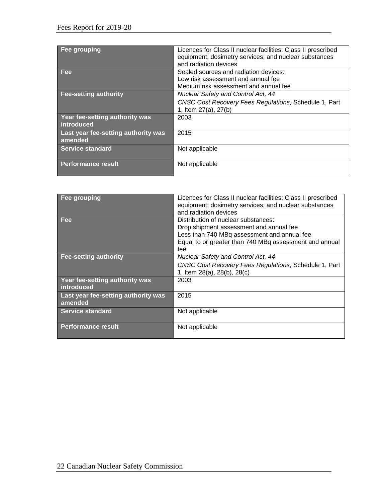| Fee grouping                                   | Licences for Class II nuclear facilities; Class II prescribed<br>equipment; dosimetry services; and nuclear substances<br>and radiation devices |
|------------------------------------------------|-------------------------------------------------------------------------------------------------------------------------------------------------|
| <b>Fee</b>                                     | Sealed sources and radiation devices:<br>Low risk assessment and annual fee<br>Medium risk assessment and annual fee                            |
| <b>Fee-setting authority</b>                   | Nuclear Safety and Control Act, 44<br>CNSC Cost Recovery Fees Regulations, Schedule 1, Part<br>1, Item 27(a), 27(b)                             |
| Year fee-setting authority was<br>introduced   | 2003                                                                                                                                            |
| Last year fee-setting authority was<br>amended | 2015                                                                                                                                            |
| Service standard                               | Not applicable                                                                                                                                  |
| <b>Performance result</b>                      | Not applicable                                                                                                                                  |

| Fee grouping                                   | Licences for Class II nuclear facilities; Class II prescribed<br>equipment; dosimetry services; and nuclear substances<br>and radiation devices                                                |
|------------------------------------------------|------------------------------------------------------------------------------------------------------------------------------------------------------------------------------------------------|
| <b>Fee</b>                                     | Distribution of nuclear substances:<br>Drop shipment assessment and annual fee<br>Less than 740 MBq assessment and annual fee<br>Equal to or greater than 740 MBq assessment and annual<br>fee |
| <b>Fee-setting authority</b>                   | Nuclear Safety and Control Act, 44<br>CNSC Cost Recovery Fees Regulations, Schedule 1, Part<br>1, Item 28(a), 28(b), 28(c)                                                                     |
| Year fee-setting authority was<br>introduced   | 2003                                                                                                                                                                                           |
| Last year fee-setting authority was<br>amended | 2015                                                                                                                                                                                           |
| <b>Service standard</b>                        | Not applicable                                                                                                                                                                                 |
| <b>Performance result</b>                      | Not applicable                                                                                                                                                                                 |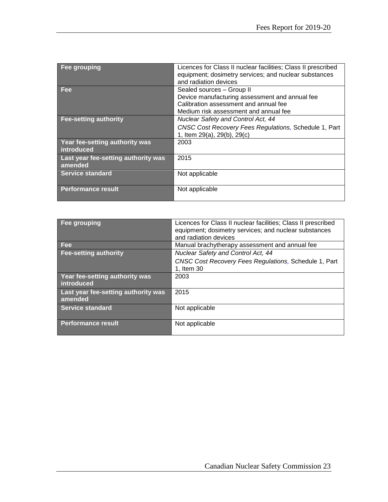| Fee grouping                                   | Licences for Class II nuclear facilities; Class II prescribed<br>equipment; dosimetry services; and nuclear substances<br>and radiation devices               |
|------------------------------------------------|---------------------------------------------------------------------------------------------------------------------------------------------------------------|
| <b>Fee</b>                                     | Sealed sources - Group II<br>Device manufacturing assessment and annual fee<br>Calibration assessment and annual fee<br>Medium risk assessment and annual fee |
| <b>Fee-setting authority</b>                   | <b>Nuclear Safety and Control Act, 44</b><br>CNSC Cost Recovery Fees Regulations, Schedule 1, Part<br>1, Item 29(a), 29(b), 29(c)                             |
| Year fee-setting authority was<br>introduced   | 2003                                                                                                                                                          |
| Last year fee-setting authority was<br>amended | 2015                                                                                                                                                          |
| <b>Service standard</b>                        | Not applicable                                                                                                                                                |
| <b>Performance result</b>                      | Not applicable                                                                                                                                                |

| Fee grouping                                   | Licences for Class II nuclear facilities; Class II prescribed<br>equipment; dosimetry services; and nuclear substances<br>and radiation devices |
|------------------------------------------------|-------------------------------------------------------------------------------------------------------------------------------------------------|
| Fee                                            | Manual brachytherapy assessment and annual fee                                                                                                  |
| <b>Fee-setting authority</b>                   | Nuclear Safety and Control Act, 44                                                                                                              |
|                                                | CNSC Cost Recovery Fees Regulations, Schedule 1, Part<br>1, Item 30                                                                             |
| Year fee-setting authority was<br>introduced   | 2003                                                                                                                                            |
| Last year fee-setting authority was<br>amended | 2015                                                                                                                                            |
| Service standard                               | Not applicable                                                                                                                                  |
| <b>Performance result</b>                      | Not applicable                                                                                                                                  |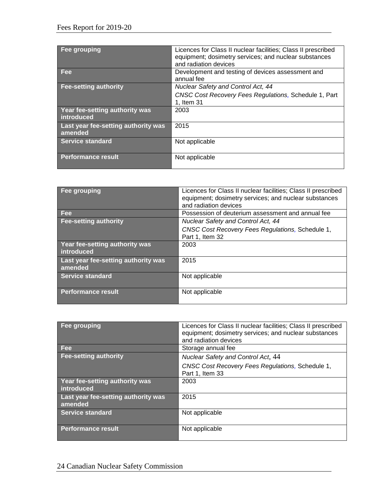| Fee grouping                                   | Licences for Class II nuclear facilities; Class II prescribed<br>equipment; dosimetry services; and nuclear substances<br>and radiation devices |
|------------------------------------------------|-------------------------------------------------------------------------------------------------------------------------------------------------|
| <b>Fee</b>                                     | Development and testing of devices assessment and<br>annual fee                                                                                 |
| <b>Fee-setting authority</b>                   | <b>Nuclear Safety and Control Act, 44</b>                                                                                                       |
|                                                | CNSC Cost Recovery Fees Regulations, Schedule 1, Part<br>1, Item 31                                                                             |
| Year fee-setting authority was<br>introduced   | 2003                                                                                                                                            |
| Last year fee-setting authority was<br>amended | 2015                                                                                                                                            |
| <b>Service standard</b>                        | Not applicable                                                                                                                                  |
| <b>Performance result</b>                      | Not applicable                                                                                                                                  |

| <b>Fee grouping</b>                            | Licences for Class II nuclear facilities; Class II prescribed<br>equipment; dosimetry services; and nuclear substances<br>and radiation devices |
|------------------------------------------------|-------------------------------------------------------------------------------------------------------------------------------------------------|
| <b>Fee</b>                                     | Possession of deuterium assessment and annual fee                                                                                               |
| <b>Fee-setting authority</b>                   | <b>Nuclear Safety and Control Act, 44</b>                                                                                                       |
|                                                | CNSC Cost Recovery Fees Regulations, Schedule 1,<br>Part 1, Item 32                                                                             |
| Year fee-setting authority was<br>introduced   | 2003                                                                                                                                            |
| Last year fee-setting authority was<br>amended | 2015                                                                                                                                            |
| <b>Service standard</b>                        | Not applicable                                                                                                                                  |
| <b>Performance result</b>                      | Not applicable                                                                                                                                  |

| Fee grouping                                   | Licences for Class II nuclear facilities; Class II prescribed<br>equipment; dosimetry services; and nuclear substances<br>and radiation devices |
|------------------------------------------------|-------------------------------------------------------------------------------------------------------------------------------------------------|
| <b>Fee</b>                                     | Storage annual fee                                                                                                                              |
| Fee-setting authority                          | Nuclear Safety and Control Act, 44                                                                                                              |
|                                                | CNSC Cost Recovery Fees Regulations, Schedule 1,<br>Part 1, Item 33                                                                             |
| Year fee-setting authority was<br>introduced   | 2003                                                                                                                                            |
| Last year fee-setting authority was<br>amended | 2015                                                                                                                                            |
| <b>Service standard</b>                        | Not applicable                                                                                                                                  |
| <b>Performance result</b>                      | Not applicable                                                                                                                                  |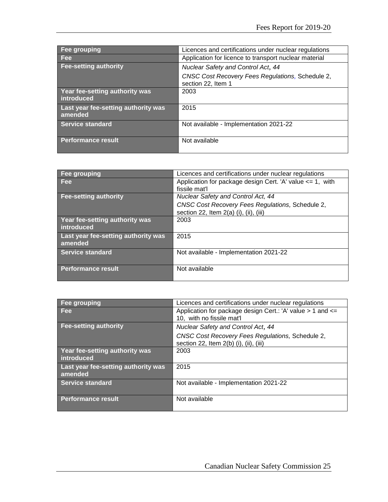| <b>Fee grouping</b>                            | Licences and certifications under nuclear regulations                  |
|------------------------------------------------|------------------------------------------------------------------------|
| <b>Fee</b>                                     | Application for licence to transport nuclear material                  |
| <b>Fee-setting authority</b>                   | Nuclear Safety and Control Act, 44                                     |
|                                                | CNSC Cost Recovery Fees Regulations, Schedule 2,<br>section 22, Item 1 |
| Year fee-setting authority was<br>introduced   | 2003                                                                   |
| Last year fee-setting authority was<br>amended | 2015                                                                   |
| Service standard                               | Not available - Implementation 2021-22                                 |
| Performance result                             | Not available                                                          |

| Fee grouping                        | Licences and certifications under nuclear regulations         |
|-------------------------------------|---------------------------------------------------------------|
| <b>Fee</b>                          | Application for package design Cert. 'A' value $\leq$ 1, with |
|                                     | fissile mat'l                                                 |
| <b>Fee-setting authority</b>        | Nuclear Safety and Control Act, 44                            |
|                                     | CNSC Cost Recovery Fees Regulations, Schedule 2,              |
|                                     | section 22, Item $2(a)$ (i), (ii), (iii)                      |
| Year fee-setting authority was      | 2003                                                          |
| introduced                          |                                                               |
| Last year fee-setting authority was | 2015                                                          |
| amended                             |                                                               |
| Service standard                    | Not available - Implementation 2021-22                        |
|                                     |                                                               |
| <b>Performance result</b>           | Not available                                                 |
|                                     |                                                               |

| Fee grouping                                   | Licences and certifications under nuclear regulations                                       |
|------------------------------------------------|---------------------------------------------------------------------------------------------|
| <b>Fee</b>                                     | Application for package design Cert.: 'A' value $> 1$ and $<=$<br>10, with no fissile mat'l |
| <b>Fee-setting authority</b>                   | Nuclear Safety and Control Act, 44                                                          |
|                                                | CNSC Cost Recovery Fees Regulations, Schedule 2,<br>section 22, Item 2(b) (i), (ii), (iii)  |
| Year fee-setting authority was<br>introduced   | 2003                                                                                        |
| Last year fee-setting authority was<br>amended | 2015                                                                                        |
| <b>Service standard</b>                        | Not available - Implementation 2021-22                                                      |
| Performance result                             | Not available                                                                               |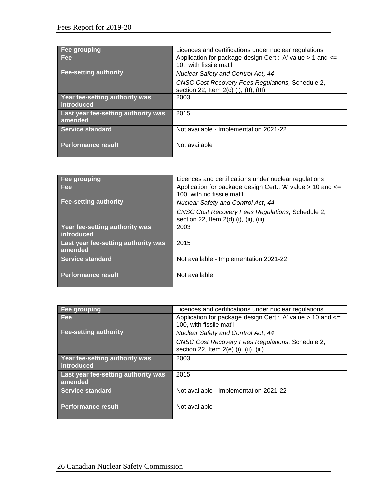| Fee grouping                                   | Licences and certifications under nuclear regulations                                        |
|------------------------------------------------|----------------------------------------------------------------------------------------------|
| <b>Fee</b>                                     | Application for package design Cert.: 'A' value > 1 and <=<br>10. with fissile mat'l         |
| <b>Fee-setting authority</b>                   | <b>Nuclear Safety and Control Act, 44</b>                                                    |
|                                                | CNSC Cost Recovery Fees Regulations, Schedule 2,<br>section 22, Item $2(c)$ (i), (II), (III) |
| Year fee-setting authority was<br>introduced   | 2003                                                                                         |
| Last year fee-setting authority was<br>amended | 2015                                                                                         |
| Service standard                               | Not available - Implementation 2021-22                                                       |
| <b>Performance result</b>                      | Not available                                                                                |

| Fee grouping                                   | Licences and certifications under nuclear regulations                                          |
|------------------------------------------------|------------------------------------------------------------------------------------------------|
| <b>Fee</b>                                     | Application for package design Cert.: 'A' value $> 10$ and $\le$<br>100, with no fissile mat'l |
| <b>Fee-setting authority</b>                   | Nuclear Safety and Control Act, 44                                                             |
|                                                | CNSC Cost Recovery Fees Regulations, Schedule 2,<br>section 22, Item 2(d) (i), (ii), (iii)     |
| Year fee-setting authority was<br>introduced   | 2003                                                                                           |
| Last year fee-setting authority was<br>amended | 2015                                                                                           |
| <b>Service standard</b>                        | Not available - Implementation 2021-22                                                         |
| <b>Performance result</b>                      | Not available                                                                                  |

| Fee grouping                        | Licences and certifications under nuclear regulations       |
|-------------------------------------|-------------------------------------------------------------|
| <b>Fee</b>                          | Application for package design Cert.: 'A' value > 10 and <= |
|                                     | 100, with fissile mat'l                                     |
| <b>Fee-setting authority</b>        | Nuclear Safety and Control Act, 44                          |
|                                     | CNSC Cost Recovery Fees Regulations, Schedule 2,            |
|                                     | section 22, Item $2(e)$ (i), (ii), (iii)                    |
| Year fee-setting authority was      | 2003                                                        |
| introduced                          |                                                             |
| Last year fee-setting authority was | 2015                                                        |
| amended                             |                                                             |
| <b>Service standard</b>             | Not available - Implementation 2021-22                      |
|                                     |                                                             |
| <b>Performance result</b>           | Not available                                               |
|                                     |                                                             |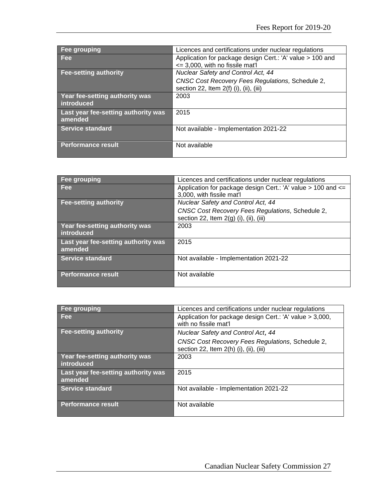| Fee grouping                        | Licences and certifications under nuclear regulations                                        |
|-------------------------------------|----------------------------------------------------------------------------------------------|
| Fee                                 | Application for package design Cert.: 'A' value > 100 and<br><= 3,000, with no fissile mat'l |
|                                     |                                                                                              |
| <b>Fee-setting authority</b>        | Nuclear Safety and Control Act, 44                                                           |
|                                     | CNSC Cost Recovery Fees Regulations, Schedule 2,                                             |
|                                     | section 22, Item 2(f) (i), (ii), (iii)                                                       |
| Year fee-setting authority was      | 2003                                                                                         |
| introduced                          |                                                                                              |
| Last year fee-setting authority was | 2015                                                                                         |
| amended                             |                                                                                              |
| Service standard                    | Not available - Implementation 2021-22                                                       |
|                                     |                                                                                              |
| Performance result                  | Not available                                                                                |
|                                     |                                                                                              |

| <b>Fee grouping</b>                 | Licences and certifications under nuclear regulations        |
|-------------------------------------|--------------------------------------------------------------|
| Fee                                 | Application for package design Cert.: 'A' value > 100 and <= |
|                                     | 3,000, with fissile mat'l                                    |
| <b>Fee-setting authority</b>        | Nuclear Safety and Control Act, 44                           |
|                                     | CNSC Cost Recovery Fees Regulations, Schedule 2,             |
|                                     | section 22, Item $2(g)$ (i), (ii), (iii)                     |
| Year fee-setting authority was      | 2003                                                         |
| introduced                          |                                                              |
| Last year fee-setting authority was | 2015                                                         |
| amended                             |                                                              |
| Service standard                    | Not available - Implementation 2021-22                       |
|                                     |                                                              |
| Performance result                  | Not available                                                |
|                                     |                                                              |

| Fee grouping                                   | Licences and certifications under nuclear regulations                                      |
|------------------------------------------------|--------------------------------------------------------------------------------------------|
| <b>Fee</b>                                     | Application for package design Cert.: 'A' value > 3,000,<br>with no fissile mat'l          |
| <b>Fee-setting authority</b>                   | Nuclear Safety and Control Act, 44                                                         |
|                                                | CNSC Cost Recovery Fees Regulations, Schedule 2,<br>section 22, Item 2(h) (i), (ii), (iii) |
| Year fee-setting authority was<br>introduced   | 2003                                                                                       |
| Last year fee-setting authority was<br>amended | 2015                                                                                       |
| <b>Service standard</b>                        | Not available - Implementation 2021-22                                                     |
| <b>Performance result</b>                      | Not available                                                                              |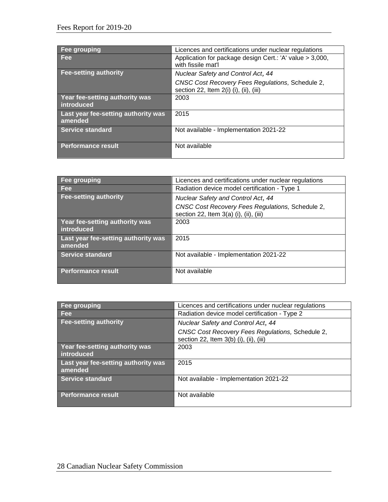| Fee grouping                                   | Licences and certifications under nuclear regulations                                      |
|------------------------------------------------|--------------------------------------------------------------------------------------------|
| <b>Fee</b>                                     | Application for package design Cert.: 'A' value > 3,000,<br>with fissile mat'l             |
| <b>Fee-setting authority</b>                   | Nuclear Safety and Control Act, 44                                                         |
|                                                | CNSC Cost Recovery Fees Regulations, Schedule 2,<br>section 22, Item 2(i) (i), (ii), (iii) |
| Year fee-setting authority was<br>introduced   | 2003                                                                                       |
| Last year fee-setting authority was<br>amended | 2015                                                                                       |
| <b>Service standard</b>                        | Not available - Implementation 2021-22                                                     |
| <b>Performance result</b>                      | Not available                                                                              |

| <b>Fee grouping</b>                            | Licences and certifications under nuclear regulations                                        |
|------------------------------------------------|----------------------------------------------------------------------------------------------|
| <b>Fee</b>                                     | Radiation device model certification - Type 1                                                |
| <b>Fee-setting authority</b>                   | Nuclear Safety and Control Act, 44                                                           |
|                                                | CNSC Cost Recovery Fees Regulations, Schedule 2,<br>section 22, Item $3(a)$ (i), (ii), (iii) |
| Year fee-setting authority was<br>introduced   | 2003                                                                                         |
| Last year fee-setting authority was<br>amended | 2015                                                                                         |
| <b>Service standard</b>                        | Not available - Implementation 2021-22                                                       |
| <b>Performance result</b>                      | Not available                                                                                |

| Fee grouping                                   | Licences and certifications under nuclear regulations                                      |
|------------------------------------------------|--------------------------------------------------------------------------------------------|
| <b>Fee</b>                                     | Radiation device model certification - Type 2                                              |
| <b>Fee-setting authority</b>                   | <b>Nuclear Safety and Control Act, 44</b>                                                  |
|                                                | CNSC Cost Recovery Fees Regulations, Schedule 2,<br>section 22, Item 3(b) (i), (ii), (iii) |
| Year fee-setting authority was<br>introduced   | 2003                                                                                       |
| Last year fee-setting authority was<br>amended | 2015                                                                                       |
| Service standard                               | Not available - Implementation 2021-22                                                     |
| Performance result                             | Not available                                                                              |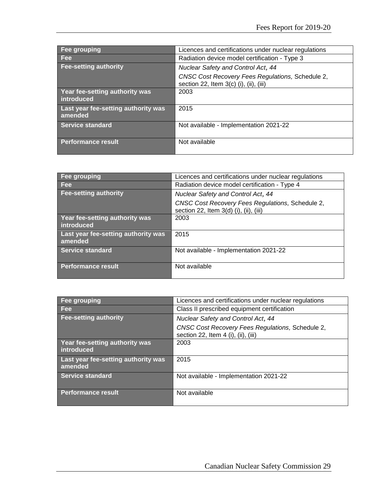| Fee grouping                                   | Licences and certifications under nuclear regulations                                        |
|------------------------------------------------|----------------------------------------------------------------------------------------------|
| <b>Fee</b>                                     | Radiation device model certification - Type 3                                                |
| Fee-setting authority                          | Nuclear Safety and Control Act, 44                                                           |
|                                                | CNSC Cost Recovery Fees Regulations, Schedule 2,<br>section 22, Item $3(c)$ (i), (ii), (iii) |
| Year fee-setting authority was<br>introduced   | 2003                                                                                         |
| Last year fee-setting authority was<br>amended | 2015                                                                                         |
| Service standard                               | Not available - Implementation 2021-22                                                       |
| Performance result                             | Not available                                                                                |

| Fee grouping                                        | Licences and certifications under nuclear regulations                                      |
|-----------------------------------------------------|--------------------------------------------------------------------------------------------|
| <b>Fee</b>                                          | Radiation device model certification - Type 4                                              |
| <b>Fee-setting authority</b>                        | <b>Nuclear Safety and Control Act, 44</b>                                                  |
|                                                     | CNSC Cost Recovery Fees Regulations, Schedule 2,<br>section 22, Item 3(d) (i), (ii), (iii) |
| <b>Year fee-setting authority was</b><br>introduced | 2003                                                                                       |
| Last year fee-setting authority was<br>amended      | 2015                                                                                       |
| <b>Service standard</b>                             | Not available - Implementation 2021-22                                                     |
| <b>Performance result</b>                           | Not available                                                                              |

| Fee grouping                                   | Licences and certifications under nuclear regulations                                   |
|------------------------------------------------|-----------------------------------------------------------------------------------------|
| <b>Fee</b>                                     | Class II prescribed equipment certification                                             |
| <b>Fee-setting authority</b>                   | Nuclear Safety and Control Act, 44                                                      |
|                                                | CNSC Cost Recovery Fees Regulations, Schedule 2,<br>section 22, Item 4 (i), (ii), (iii) |
| Year fee-setting authority was<br>introduced   | 2003                                                                                    |
| Last year fee-setting authority was<br>amended | 2015                                                                                    |
| <b>Service standard</b>                        | Not available - Implementation 2021-22                                                  |
| Performance result                             | Not available                                                                           |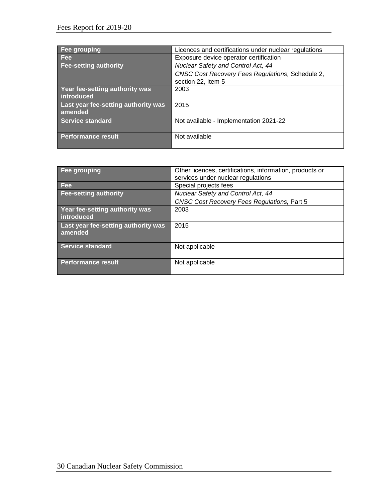| Fee grouping                                   | Licences and certifications under nuclear regulations |
|------------------------------------------------|-------------------------------------------------------|
| <b>Fee</b>                                     | Exposure device operator certification                |
| Fee-setting authority                          | Nuclear Safety and Control Act, 44                    |
|                                                | CNSC Cost Recovery Fees Regulations, Schedule 2,      |
|                                                | section 22, Item 5                                    |
| Year fee-setting authority was<br>introduced   | 2003                                                  |
| Last year fee-setting authority was<br>amended | 2015                                                  |
| Service standard                               | Not available - Implementation 2021-22                |
| Performance result                             | Not available                                         |

| <b>Fee grouping</b>                            | Other licences, certifications, information, products or<br>services under nuclear regulations |
|------------------------------------------------|------------------------------------------------------------------------------------------------|
| <b>Fee</b>                                     | Special projects fees                                                                          |
| <b>Fee-setting authority</b>                   | Nuclear Safety and Control Act, 44                                                             |
|                                                | CNSC Cost Recovery Fees Regulations, Part 5                                                    |
| Year fee-setting authority was<br>introduced   | 2003                                                                                           |
| Last year fee-setting authority was<br>amended | 2015                                                                                           |
| <b>Service standard</b>                        | Not applicable                                                                                 |
| <b>Performance result</b>                      | Not applicable                                                                                 |